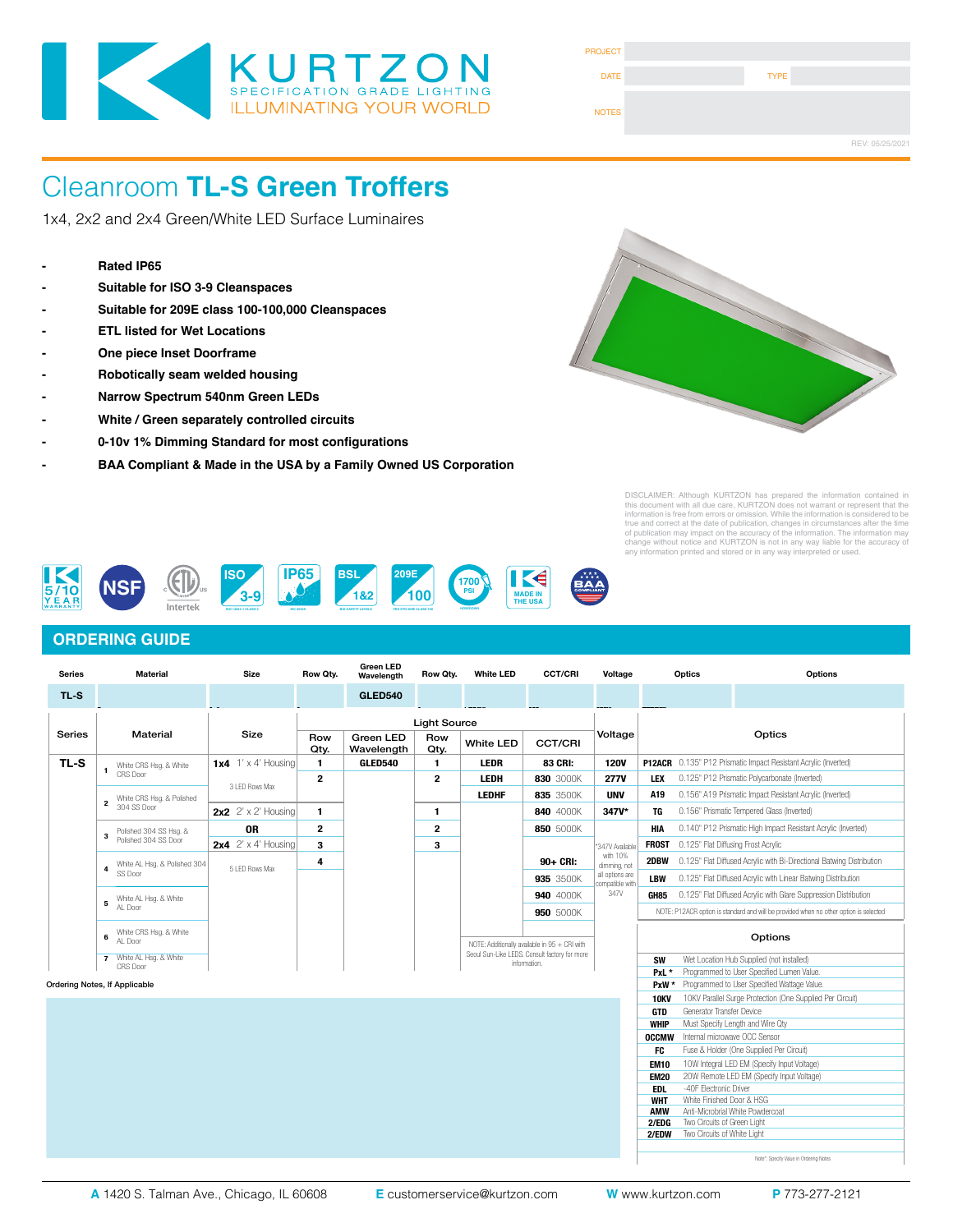

| <b>PROJECT</b> |             |                 |
|----------------|-------------|-----------------|
| <b>DATE</b>    | <b>TYPE</b> |                 |
| <b>NOTES</b>   |             |                 |
|                |             | REV: 05/25/2021 |

1x4, 2x2 and 2x4 Green/White LED Surface Luminaires

- **Rated IP65**
- **Suitable for ISO 3-9 Cleanspaces**
- **Suitable for 209E class 100-100,000 Cleanspaces**
- **ETL listed for Wet Locations**
- **One piece Inset Doorframe**
- **Robotically seam welded housing**
- **Narrow Spectrum 540nm Green LEDs**
- **White / Green separately controlled circuits**
- **0-10v 1% Dimming Standard for most configurations**
- **- BAA Compliant & Made in the USA by a Family Owned US Corporation**



DISCLAIMER: Although KURTZON has prepared the information contained in<br>this document with all due care, KURTZON does not warrant or represent that the<br>information is free from errors or omission. While the information is c



### **ORDERING GUIDE**

| <b>Series</b>                    | <b>Material</b>                                     | <b>Size</b>                | Row Qty.            | <b>Green LED</b><br>Wavelength | Row Qty.             | <b>White LED</b> | <b>CCT/CRI</b>                                                | Voltage                                                                     | Optics                                                      | Options                                                                               |  |
|----------------------------------|-----------------------------------------------------|----------------------------|---------------------|--------------------------------|----------------------|------------------|---------------------------------------------------------------|-----------------------------------------------------------------------------|-------------------------------------------------------------|---------------------------------------------------------------------------------------|--|
| TL-S                             |                                                     |                            |                     | <b>GLED540</b>                 |                      |                  |                                                               |                                                                             |                                                             |                                                                                       |  |
|                                  |                                                     |                            | <b>Light Source</b> |                                |                      |                  |                                                               |                                                                             |                                                             |                                                                                       |  |
| <b>Material</b><br><b>Series</b> |                                                     | <b>Size</b>                | Row<br>Qty.         | Green LED<br>Wavelength        | Row<br>Qty.          | <b>White LED</b> | <b>CCT/CRI</b>                                                | Voltage                                                                     | Optics                                                      |                                                                                       |  |
| TL-S                             | White CRS Hsa, & White                              | $1x4$ 1' x 4' Housing      | 1.                  | GLED540                        | 1                    | <b>LEDR</b>      | 83 CRI:                                                       | <b>120V</b>                                                                 |                                                             | P12ACR 0.135" P12 Prismatic Impact Resistant Acrylic (Inverted)                       |  |
|                                  | -1<br>CRS Door                                      |                            | $\mathbf{2}$        |                                | $\mathbf{2}$<br>LEDH |                  | 830 3000K                                                     | <b>277V</b>                                                                 | 0.125" P12 Prismatic Polycarbonate (Inverted)<br><b>LEX</b> |                                                                                       |  |
|                                  | White CRS Hsg. & Polished                           | 3 LED Rows Max             |                     |                                |                      | <b>LEDHF</b>     | 835 3500K                                                     | <b>UNV</b>                                                                  | A19                                                         | 0.156" A19 Prismatic Impact Resistant Acrylic (Inverted)                              |  |
|                                  | $\overline{2}$<br>304 SS Door                       | 2x2 $2' \times 2'$ Housing | 1.                  |                                | 1                    |                  | 840 4000K                                                     | 347V*                                                                       | TG                                                          | 0.156" Prismatic Tempered Glass (Inverted)                                            |  |
|                                  | Polished 304 SS Hsq. &<br>3<br>Polished 304 SS Door | <b>OR</b>                  | $\mathbf{2}$        |                                | $\overline{2}$       |                  | 850 5000K                                                     | <b>HIA</b><br>0.140" P12 Prismatic High Impact Resistant Acrylic (Inverted) |                                                             |                                                                                       |  |
|                                  |                                                     | 2x4 $2' \times 4'$ Housing | 3                   |                                | 3                    |                  |                                                               | *347V Available                                                             | 0.125" Flat Diffusing Frost Acrylic<br><b>FROST</b>         |                                                                                       |  |
|                                  | White AL Hsg. & Polished 304<br>4<br>SS Door        | 5 LED Rows Max             | 4                   |                                |                      |                  | 90+ CRI:                                                      | with 10%<br>dimming, not<br>all options are                                 | 2DBW                                                        | 0.125" Flat Diffused Acrylic with Bi-Directional Batwing Distribution                 |  |
|                                  |                                                     |                            |                     |                                |                      |                  | 935 3500K                                                     |                                                                             | <b>LBW</b>                                                  | 0.125" Flat Diffused Acrylic with Linear Batwing Distribution                         |  |
|                                  | White AL Hsg. & White<br>5<br>AL Door               |                            |                     |                                |                      |                  | 940 4000K                                                     | compatible with<br>347V                                                     |                                                             | 0.125" Flat Diffused Acrylic with Glare Suppression Distribution                      |  |
|                                  |                                                     |                            |                     |                                |                      |                  |                                                               |                                                                             | GH85                                                        |                                                                                       |  |
|                                  |                                                     |                            |                     |                                |                      |                  | 950 5000K                                                     |                                                                             |                                                             | NOTE: P12ACR option is standard and will be provided when no other option is selected |  |
|                                  | White CRS Hsg. & White<br>6<br>AL Door              |                            |                     |                                |                      |                  | NOTE: Additionally available in 95 + CRI with                 |                                                                             |                                                             | Options                                                                               |  |
|                                  | White AL Hsg. & White<br>$\overline{7}$             |                            |                     |                                |                      |                  | Seoul Sun-Like LEDS. Consult factory for more<br>information. |                                                                             | Wet Location Hub Supplied (not installed)<br><b>SW</b>      |                                                                                       |  |
|                                  | CRS Door                                            |                            |                     |                                |                      |                  |                                                               |                                                                             | PxL*                                                        | Programmed to User Specified Lumen Value.                                             |  |
| Ordering Notes, If Applicable    |                                                     |                            |                     |                                |                      |                  |                                                               | PxW *                                                                       | Programmed to User Specified Wattage Value.                 |                                                                                       |  |
|                                  |                                                     |                            |                     |                                |                      |                  |                                                               |                                                                             | <b>10KV</b>                                                 | 10KV Parallel Surge Protection (One Supplied Per Circuit)                             |  |
|                                  |                                                     |                            |                     |                                |                      |                  |                                                               |                                                                             | Generator Transfer Device<br><b>GTD</b>                     |                                                                                       |  |
|                                  |                                                     |                            |                     |                                |                      |                  |                                                               |                                                                             | <b>WHIP</b>                                                 | Must Specify Length and Wire Qtv                                                      |  |

Note\*: Specify Value in Ordering Notes

**OCCMW** Internal microwave OCC Sensor **FC** Fuse & Holder (One Supplied Per Circuit) **EM10** 10W Integral LED EM (Specify Input Voltage)<br>**EM20** 20W Remote LED EM (Specify Input Voltage) **EM20** 20W Remote LED EM (Specify Input Voltage)<br>**EDL** -40F Electronic Driver

**EDL** -40F Electronic Driver<br> **WHT** White Finished Door & **WHT** White Finished Door & HSG<br>**AMW** Anti-Microbrial White Powder **Anti-Microbrial White Powdercoat** 

**2/EDG** Two Circuits of Green Light<br>**2/EDW** Two Circuits of White Light **Two Circuits of White Light**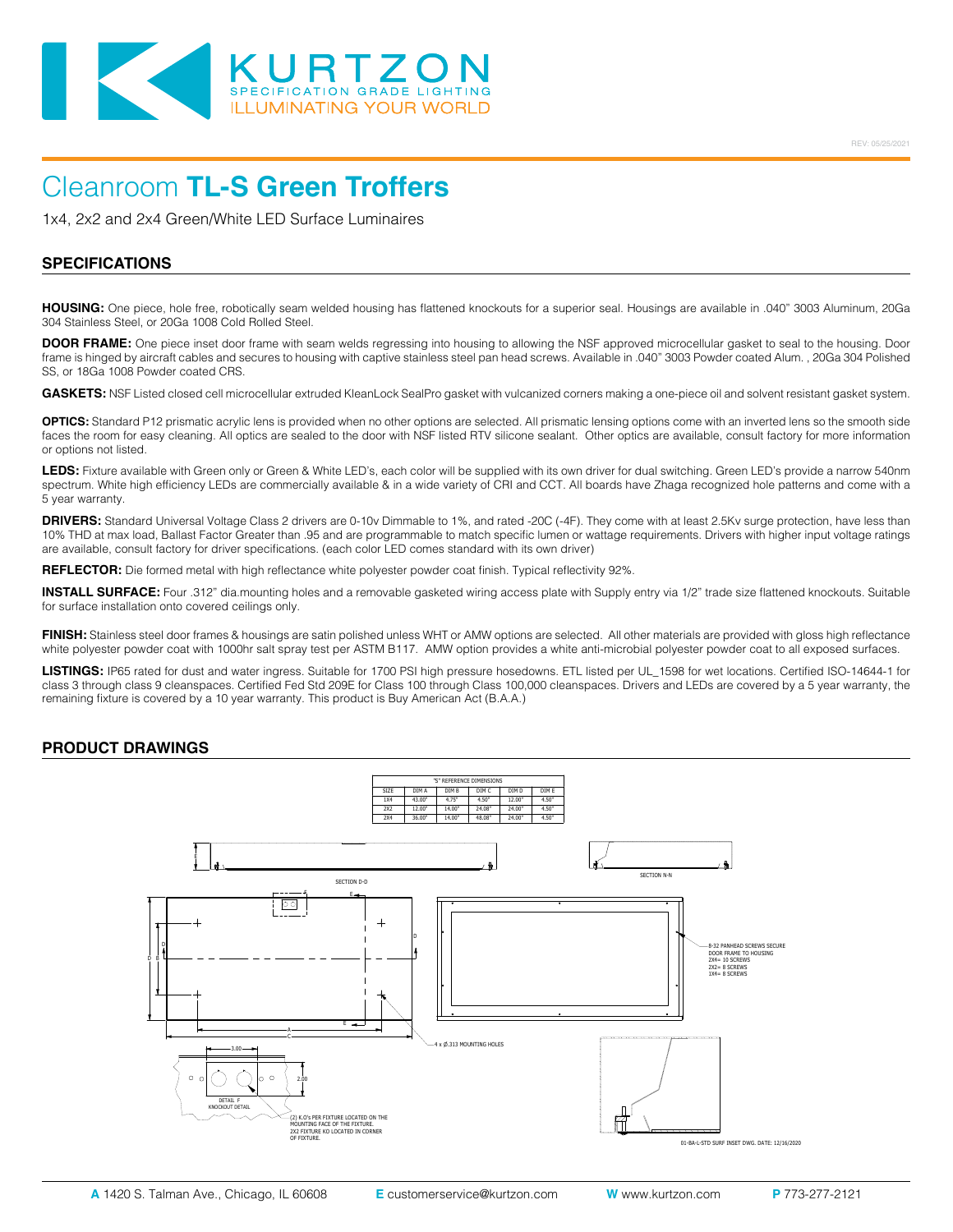

1x4, 2x2 and 2x4 Green/White LED Surface Luminaires

#### **SPECIFICATIONS**

**HOUSING:** One piece, hole free, robotically seam welded housing has flattened knockouts for a superior seal. Housings are available in .040" 3003 Aluminum, 20Ga 304 Stainless Steel, or 20Ga 1008 Cold Rolled Steel.

**DOOR FRAME:** One piece inset door frame with seam welds regressing into housing to allowing the NSF approved microcellular gasket to seal to the housing. Door frame is hinged by aircraft cables and secures to housing with captive stainless steel pan head screws. Available in .040" 3003 Powder coated Alum. , 20Ga 304 Polished SS, or 18Ga 1008 Powder coated CRS.

**GASKETS:** NSF Listed closed cell microcellular extruded KleanLock SealPro gasket with vulcanized corners making a one-piece oil and solvent resistant gasket system.

**OPTICS:** Standard P12 prismatic acrylic lens is provided when no other options are selected. All prismatic lensing options come with an inverted lens so the smooth side faces the room for easy cleaning. All optics are sealed to the door with NSF listed RTV silicone sealant. Other optics are available, consult factory for more information or options not listed.

LEDS: Fixture available with Green only or Green & White LED's, each color will be supplied with its own driver for dual switching. Green LED's provide a narrow 540nm spectrum. White high efficiency LEDs are commercially available & in a wide variety of CRI and CCT. All boards have Zhaga recognized hole patterns and come with a 5 year warranty.

**DRIVERS:** Standard Universal Voltage Class 2 drivers are 0-10v Dimmable to 1%, and rated -20C (-4F). They come with at least 2.5Kv surge protection, have less than 10% THD at max load, Ballast Factor Greater than .95 and are programmable to match specific lumen or wattage requirements. Drivers with higher input voltage ratings are available, consult factory for driver specifications. (each color LED comes standard with its own driver)

**REFLECTOR:** Die formed metal with high reflectance white polyester powder coat finish. Typical reflectivity 92%.

**INSTALL SURFACE:** Four .312" dia.mounting holes and a removable gasketed wiring access plate with Supply entry via 1/2" trade size flattened knockouts. Suitable for surface installation onto covered ceilings only.

**FINISH:** Stainless steel door frames & housings are satin polished unless WHT or AMW options are selected. All other materials are provided with gloss high reflectance white polyester powder coat with 1000hr salt spray test per ASTM B117. AMW option provides a white anti-microbial polyester powder coat to all exposed surfaces.

**LISTINGS:** IP65 rated for dust and water ingress. Suitable for 1700 PSI high pressure hosedowns. ETL listed per UL\_1598 for wet locations. Certified ISO-14644-1 for class 3 through class 9 cleanspaces. Certified Fed Std 209E for Class 100 through Class 100,000 cleanspaces. Drivers and LEDs are covered by a 5 year warranty, the remaining fixture is covered by a 10 year warranty. This product is Buy American Act (B.A.A.)

#### **PRODUCT DRAWINGS**

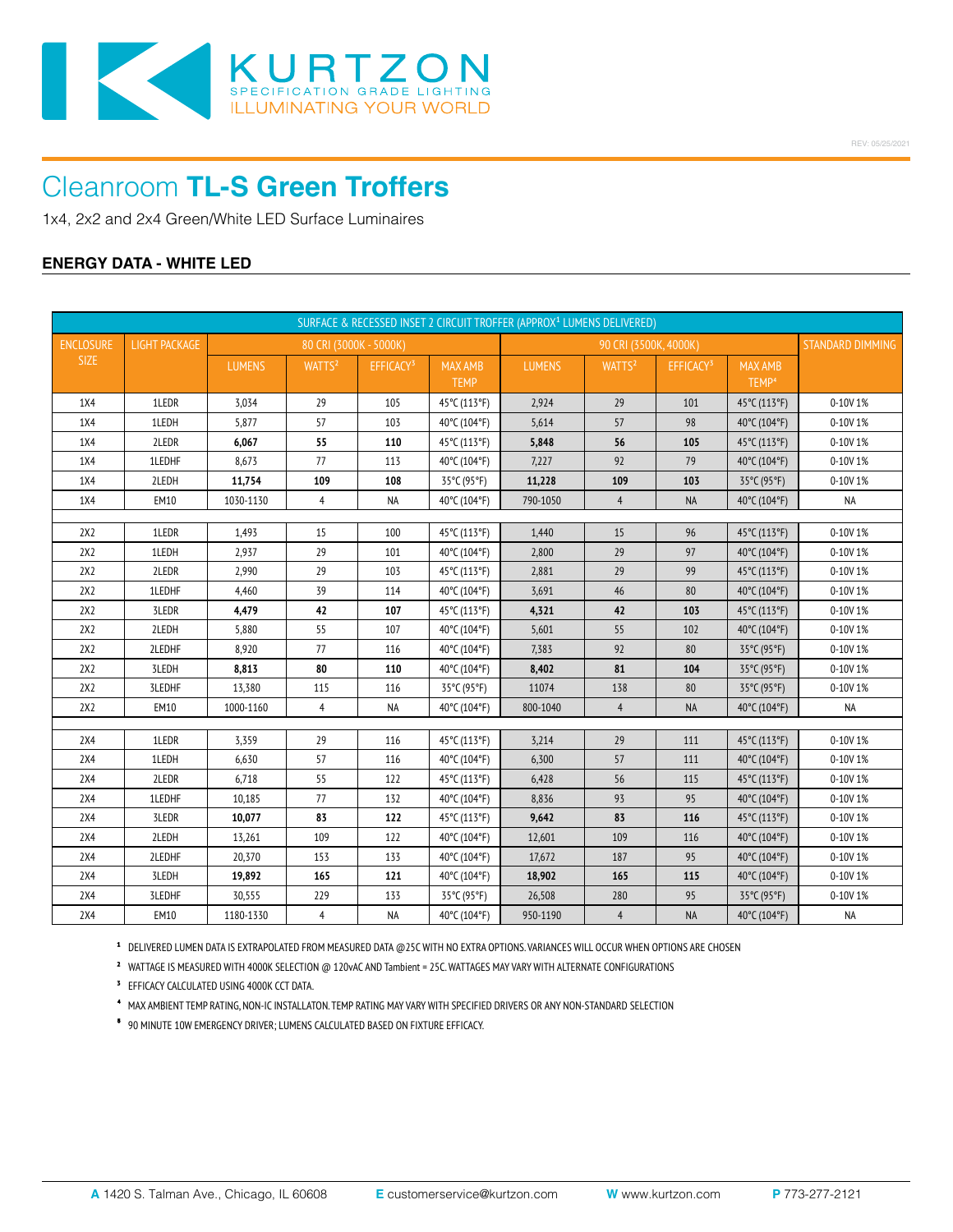

1x4, 2x2 and 2x4 Green/White LED Surface Luminaires

### **ENERGY DATA - WHITE LED**

| SURFACE & RECESSED INSET 2 CIRCUIT TROFFER (APPROX <sup>1</sup> LUMENS DELIVERED) |                      |               |                        |                       |                               |                       |                    |                       |                                     |                  |
|-----------------------------------------------------------------------------------|----------------------|---------------|------------------------|-----------------------|-------------------------------|-----------------------|--------------------|-----------------------|-------------------------------------|------------------|
| <b>ENCLOSURE</b>                                                                  | <b>LIGHT PACKAGE</b> |               | 80 CRI (3000K - 5000K) |                       |                               | 90 CRI (3500K, 4000K) |                    |                       |                                     | STANDARD DIMMING |
| <b>SIZE</b>                                                                       |                      | <b>LUMENS</b> | WATTS <sup>2</sup>     | EFFICACY <sup>3</sup> | <b>MAX AMB</b><br><b>TEMP</b> | <b>LUMENS</b>         | WATTS <sup>2</sup> | EFFICACY <sup>3</sup> | <b>MAX AMB</b><br>TEMP <sup>4</sup> |                  |
| 1X4                                                                               | 1LEDR                | 3,034         | 29                     | 105                   | 45°C (113°F)                  | 2,924                 | 29                 | 101                   | 45°C (113°F)                        | 0-10V 1%         |
| 1X4                                                                               | 1LEDH                | 5,877         | 57                     | 103                   | 40°C (104°F)                  | 5,614                 | 57                 | 98                    | 40°C (104°F)                        | 0-10V 1%         |
| 1X4                                                                               | 2LEDR                | 6,067         | 55                     | 110                   | 45°C (113°F)                  | 5,848                 | 56                 | 105                   | 45°C (113°F)                        | 0-10V 1%         |
| 1X4                                                                               | 1LEDHF               | 8,673         | 77                     | 113                   | 40°C (104°F)                  | 7,227                 | 92                 | 79                    | 40°C (104°F)                        | 0-10V 1%         |
| 1X4                                                                               | 2LEDH                | 11,754        | 109                    | 108                   | 35°C (95°F)                   | 11,228                | 109                | 103                   | 35°C (95°F)                         | 0-10V 1%         |
| 1X4                                                                               | <b>EM10</b>          | 1030-1130     | 4                      | NA                    | 40°C (104°F)                  | 790-1050              | $\overline{4}$     | NA                    | 40°C (104°F)                        | <b>NA</b>        |
|                                                                                   |                      |               |                        |                       |                               |                       |                    |                       |                                     |                  |
| 2X2                                                                               | 1LEDR                | 1,493         | 15                     | 100                   | 45°C (113°F)                  | 1,440                 | 15                 | 96                    | 45°C (113°F)                        | 0-10V 1%         |
| 2X2                                                                               | 1LEDH                | 2,937         | 29                     | 101                   | 40°C (104°F)                  | 2,800                 | 29                 | 97                    | 40°C (104°F)                        | 0-10V 1%         |
| 2X2                                                                               | 2LEDR                | 2,990         | 29                     | 103                   | 45°C (113°F)                  | 2,881                 | 29                 | 99                    | 45°C (113°F)                        | 0-10V 1%         |
| 2X2                                                                               | 1LEDHF               | 4,460         | 39                     | 114                   | 40°C (104°F)                  | 3,691                 | 46                 | 80                    | 40°C (104°F)                        | 0-10V 1%         |
| 2X2                                                                               | 3LEDR                | 4,479         | 42                     | 107                   | 45°C (113°F)                  | 4,321                 | 42                 | 103                   | 45°C (113°F)                        | 0-10V 1%         |
| 2X2                                                                               | 2LEDH                | 5,880         | 55                     | 107                   | 40°C (104°F)                  | 5,601                 | 55                 | 102                   | 40°C (104°F)                        | $0 - 10V1%$      |
| 2X2                                                                               | 2LEDHF               | 8,920         | 77                     | 116                   | 40°C (104°F)                  | 7,383                 | 92                 | 80                    | 35°C (95°F)                         | 0-10V 1%         |
| 2X2                                                                               | 3LEDH                | 8,813         | 80                     | 110                   | 40°C (104°F)                  | 8,402                 | 81                 | 104                   | 35°C (95°F)                         | 0-10V 1%         |
| 2X2                                                                               | 3LEDHF               | 13,380        | 115                    | 116                   | 35°C (95°F)                   | 11074                 | 138                | $80\,$                | 35°C (95°F)                         | 0-10V 1%         |
| 2X2                                                                               | <b>EM10</b>          | 1000-1160     | 4                      | <b>NA</b>             | 40°C (104°F)                  | 800-1040              | $\overline{4}$     | <b>NA</b>             | 40°C (104°F)                        | <b>NA</b>        |
| 2X4                                                                               | 1LEDR                | 3,359         | 29                     | 116                   | 45°C (113°F)                  | 3,214                 | 29                 | 111                   | 45°C (113°F)                        | 0-10V 1%         |
| 2X4                                                                               | 1LEDH                | 6,630         | 57                     | 116                   | 40°C (104°F)                  | 6,300                 | 57                 | 111                   | 40°C (104°F)                        | 0-10V 1%         |
| 2X4                                                                               | 2LEDR                | 6,718         | 55                     | 122                   | 45°C (113°F)                  | 6,428                 | 56                 | 115                   | 45°C (113°F)                        | $0 - 10V1%$      |
| 2X4                                                                               | 1LEDHF               | 10,185        | 77                     | 132                   | 40°C (104°F)                  | 8,836                 | 93                 | 95                    | 40°C (104°F)                        | 0-10V 1%         |
| 2X4                                                                               | 3LEDR                | 10,077        | 83                     | 122                   | 45°C (113°F)                  | 9,642                 | 83                 | 116                   | 45°C (113°F)                        | 0-10V 1%         |
| 2X4                                                                               | 2LEDH                | 13,261        | 109                    | 122                   | 40°C (104°F)                  | 12,601                | 109                | 116                   | 40°C (104°F)                        | $0 - 10V1%$      |
| 2X4                                                                               | 2LEDHF               | 20,370        | 153                    | 133                   | 40°C (104°F)                  | 17,672                | 187                | 95                    | 40°C (104°F)                        | 0-10V 1%         |
| 2X4                                                                               | 3LEDH                | 19,892        | 165                    | 121                   | 40°C (104°F)                  | 18,902                | 165                | 115                   | 40°C (104°F)                        | 0-10V 1%         |
| 2X4                                                                               | 3LEDHF               | 30,555        | 229                    | 133                   | 35°C (95°F)                   | 26,508                | 280                | 95                    | 35°C (95°F)                         | 0-10V 1%         |
| 2X4                                                                               | <b>EM10</b>          | 1180-1330     | $\overline{4}$         | NA                    | 40°C (104°F)                  | 950-1190              | $\overline{4}$     | <b>NA</b>             | 40°C (104°F)                        | NA               |

**¹** DELIVERED LUMEN DATA IS EXTRAPOLATED FROM MEASURED DATA @25C WITH NO EXTRA OPTIONS. VARIANCES WILL OCCUR WHEN OPTIONS ARE CHOSEN

**²** WATTAGE IS MEASURED WITH 4000K SELECTION @ 120vAC AND Tambient = 25C. WATTAGES MAY VARY WITH ALTERNATE CONFIGURATIONS

**³** EFFICACY CALCULATED USING 4000K CCT DATA.

⁴ MAX AMBIENT TEMP RATING, NON-IC INSTALLATON. TEMP RATING MAY VARY WITH SPECIFIED DRIVERS OR ANY NON-STANDARD SELECTION

⁵ 90 MINUTE 10W EMERGENCY DRIVER; LUMENS CALCULATED BASED ON FIXTURE EFFICACY.